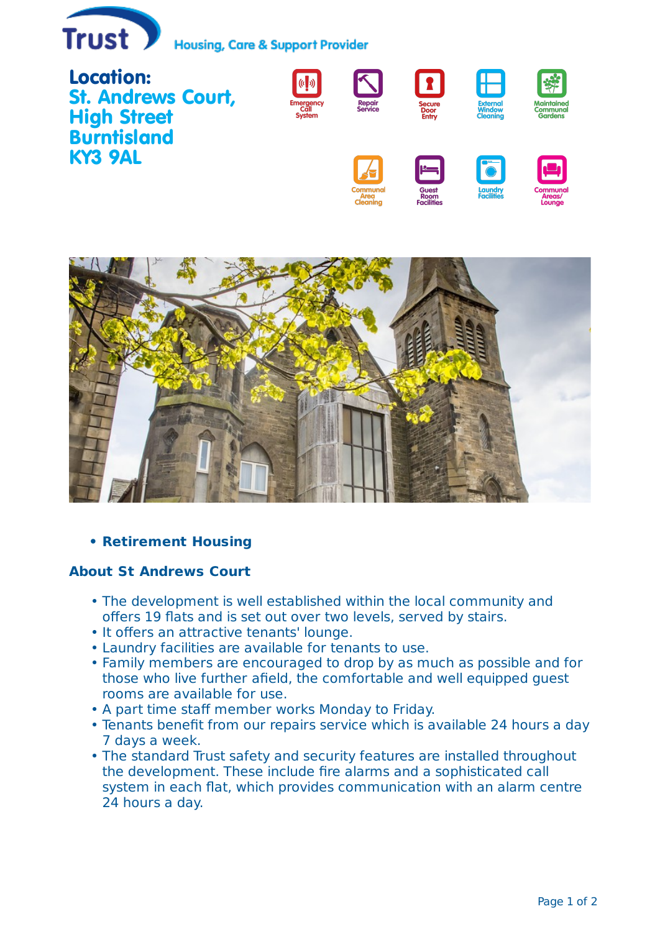

**Housing, Care & Support Provider** 





## **Retirement Housing •**

## **About St Andrews Court**

- The development is well established within the local community and offers 19 flats and is set out over two levels, served by stairs.
- It offers an attractive tenants' lounge.
- Laundry facilities are available for tenants to use. •
- Family members are encouraged to drop by as much as possible and for those who live further afield, the comfortable and well equipped guest rooms are available for use.
- A part time staff member works Monday to Friday.
- Tenants benefit from our repairs service which is available 24 hours a day 7 days a week.
- The standard Trust safety and security features are installed throughout the development. These include fire alarms and a sophisticated call system in each flat, which provides communication with an alarm centre 24 hours a day.